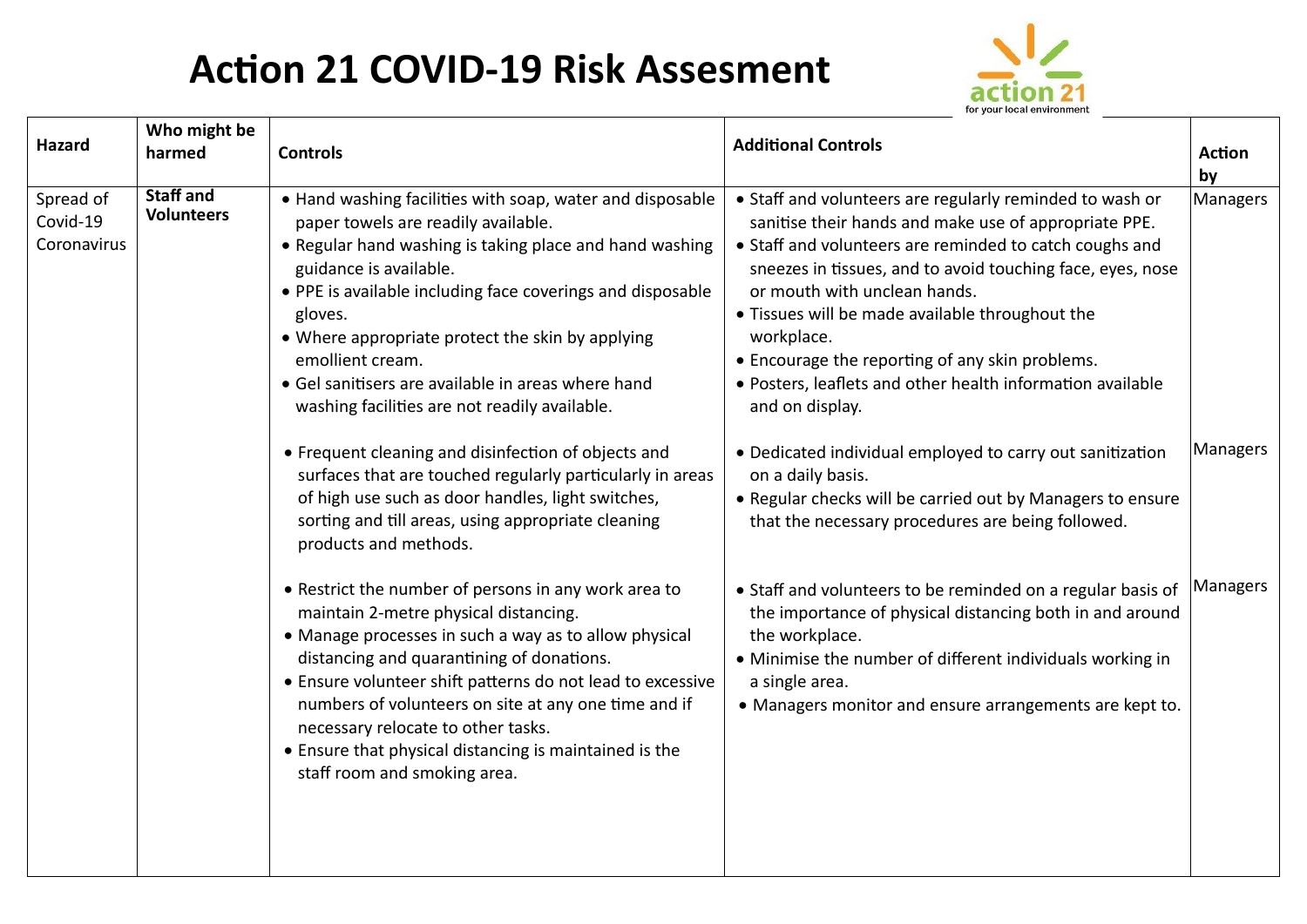## **Action 21 COVID-19 Risk Assesment**



| Hazard                               | Who might be<br>harmed                | <b>Controls</b>                                                                                                                                                                                                                                                                                                                                                                                                                                           | <b>Additional Controls</b>                                                                                                                                                                                                                                                                                                                                                                                                                                                      | <b>Action</b><br>by |
|--------------------------------------|---------------------------------------|-----------------------------------------------------------------------------------------------------------------------------------------------------------------------------------------------------------------------------------------------------------------------------------------------------------------------------------------------------------------------------------------------------------------------------------------------------------|---------------------------------------------------------------------------------------------------------------------------------------------------------------------------------------------------------------------------------------------------------------------------------------------------------------------------------------------------------------------------------------------------------------------------------------------------------------------------------|---------------------|
| Spread of<br>Covid-19<br>Coronavirus | <b>Staff and</b><br><b>Volunteers</b> | • Hand washing facilities with soap, water and disposable<br>paper towels are readily available.<br>• Regular hand washing is taking place and hand washing<br>guidance is available.<br>• PPE is available including face coverings and disposable<br>gloves.<br>• Where appropriate protect the skin by applying<br>emollient cream.<br>• Gel sanitisers are available in areas where hand<br>washing facilities are not readily available.             | • Staff and volunteers are regularly reminded to wash or<br>sanitise their hands and make use of appropriate PPE.<br>• Staff and volunteers are reminded to catch coughs and<br>sneezes in tissues, and to avoid touching face, eyes, nose<br>or mouth with unclean hands.<br>• Tissues will be made available throughout the<br>workplace.<br>• Encourage the reporting of any skin problems.<br>· Posters, leaflets and other health information available<br>and on display. | Managers            |
|                                      |                                       | • Frequent cleaning and disinfection of objects and<br>surfaces that are touched regularly particularly in areas<br>of high use such as door handles, light switches,<br>sorting and till areas, using appropriate cleaning<br>products and methods.                                                                                                                                                                                                      | • Dedicated individual employed to carry out sanitization<br>on a daily basis.<br>• Regular checks will be carried out by Managers to ensure<br>that the necessary procedures are being followed.                                                                                                                                                                                                                                                                               | Managers            |
|                                      |                                       | • Restrict the number of persons in any work area to<br>maintain 2-metre physical distancing.<br>• Manage processes in such a way as to allow physical<br>distancing and quarantining of donations.<br>• Ensure volunteer shift patterns do not lead to excessive<br>numbers of volunteers on site at any one time and if<br>necessary relocate to other tasks.<br>• Ensure that physical distancing is maintained is the<br>staff room and smoking area. | • Staff and volunteers to be reminded on a regular basis of<br>the importance of physical distancing both in and around<br>the workplace.<br>• Minimise the number of different individuals working in<br>a single area.<br>• Managers monitor and ensure arrangements are kept to.                                                                                                                                                                                             | Managers            |